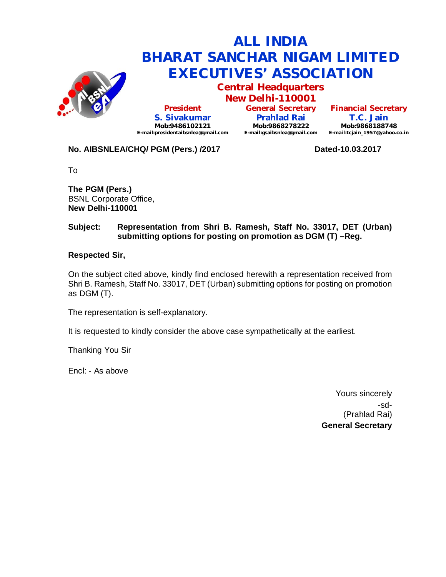

**Central Headquarters**

**New Delhi-110001 President S. Sivakumar Mob:9486102121 E-mail:presidentaibsnlea@gmail.com**

**General Secretary Prahlad Rai Mob:9868278222 E-mail:gsaibsnlea@gmail.com**

**Financial Secretary T.C. Jain Mob:9868188748 E-mail:tcjain\_1957@yahoo.co.in**

## **No. AIBSNLEA/CHQ/ PGM (Pers.) /2017 Dated-10.03.2017**

To

**The PGM (Pers.)** BSNL Corporate Office, **New Delhi-110001** 

### **Subject: Representation from Shri B. Ramesh, Staff No. 33017, DET (Urban) submitting options for posting on promotion as DGM (T) –Reg.**

#### **Respected Sir,**

On the subject cited above, kindly find enclosed herewith a representation received from Shri B. Ramesh, Staff No. 33017, DET (Urban) submitting options for posting on promotion as DGM (T).

The representation is self-explanatory.

It is requested to kindly consider the above case sympathetically at the earliest.

Thanking You Sir

Encl: - As above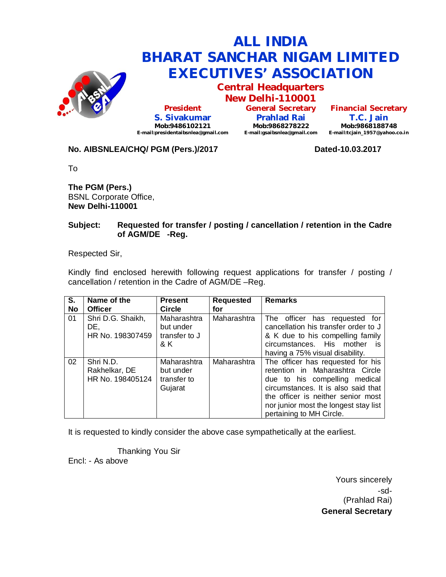

**Central Headquarters**

**New Delhi-110001 President S. Sivakumar Mob:9486102121 E-mail:presidentaibsnlea@gmail.com**

**General Secretary Prahlad Rai Mob:9868278222 E-mail:gsaibsnlea@gmail.com**

**Financial Secretary T.C. Jain Mob:9868188748 E-mail:tcjain\_1957@yahoo.co.in**

### **No. AIBSNLEA/CHQ/ PGM (Pers.)/2017 Dated-10.03.2017**

To

**The PGM (Pers.)** BSNL Corporate Office, **New Delhi-110001** 

#### **Subject: Requested for transfer / posting / cancellation / retention in the Cadre of AGM/DE -Reg.**

Respected Sir,

Kindly find enclosed herewith following request applications for transfer / posting / cancellation / retention in the Cadre of AGM/DE –Reg.

| S.<br>No | Name of the<br><b>Officer</b>                  | <b>Present</b><br><b>Circle</b>                    | <b>Requested</b><br>for | <b>Remarks</b>                                                                                                                                                                                                                                          |
|----------|------------------------------------------------|----------------------------------------------------|-------------------------|---------------------------------------------------------------------------------------------------------------------------------------------------------------------------------------------------------------------------------------------------------|
| 01       | Shri D.G. Shaikh,<br>DE.<br>HR No. 198307459   | Maharashtra<br>but under<br>transfer to J<br>& K   | Maharashtra             | The officer has requested for<br>cancellation his transfer order to J<br>& K due to his compelling family<br>circumstances. His mother<br>IS.<br>having a 75% visual disability.                                                                        |
| 02       | Shri N.D.<br>Rakhelkar, DE<br>HR No. 198405124 | Maharashtra<br>but under<br>transfer to<br>Gujarat | Maharashtra             | The officer has requested for his<br>retention in Maharashtra Circle<br>due to his compelling medical<br>circumstances. It is also said that<br>the officer is neither senior most<br>nor junior most the longest stay list<br>pertaining to MH Circle. |

It is requested to kindly consider the above case sympathetically at the earliest.

Thanking You Sir Encl: - As above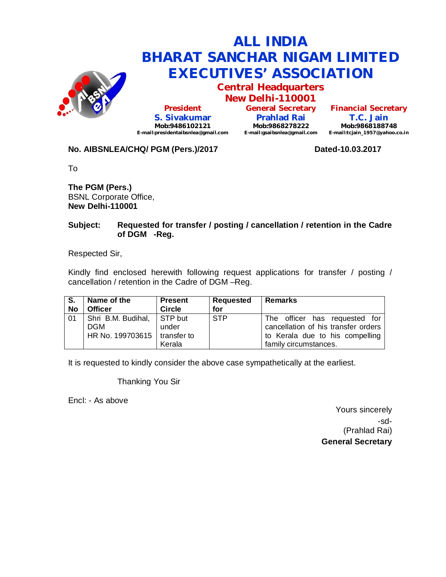

**Central Headquarters**

**New Delhi-110001 President S. Sivakumar Mob:9486102121 E-mail:presidentaibsnlea@gmail.com**

**General Secretary Prahlad Rai Mob:9868278222 E-mail:gsaibsnlea@gmail.com**

**Financial Secretary T.C. Jain Mob:9868188748 E-mail:tcjain\_1957@yahoo.co.in**

## **No. AIBSNLEA/CHQ/ PGM (Pers.)/2017 Dated-10.03.2017**

To

**The PGM (Pers.)** BSNL Corporate Office, **New Delhi-110001** 

#### **Subject: Requested for transfer / posting / cancellation / retention in the Cadre of DGM -Reg.**

Respected Sir,

Kindly find enclosed herewith following request applications for transfer / posting / cancellation / retention in the Cadre of DGM –Reg.

| l S.      | Name of the                                                                | <b>Present</b>  | Requested  | <b>Remarks</b>                                                                                                                   |
|-----------|----------------------------------------------------------------------------|-----------------|------------|----------------------------------------------------------------------------------------------------------------------------------|
| <b>No</b> | <b>Officer</b>                                                             | <b>Circle</b>   | for        |                                                                                                                                  |
| 01        | Shri B.M. Budihal, STP but<br><b>DGM</b><br>HR No. 199703615   transfer to | under<br>Kerala | <b>STP</b> | The officer has requested for<br>cancellation of his transfer orders<br>to Kerala due to his compelling<br>family circumstances. |

It is requested to kindly consider the above case sympathetically at the earliest.

Thanking You Sir

Encl: - As above